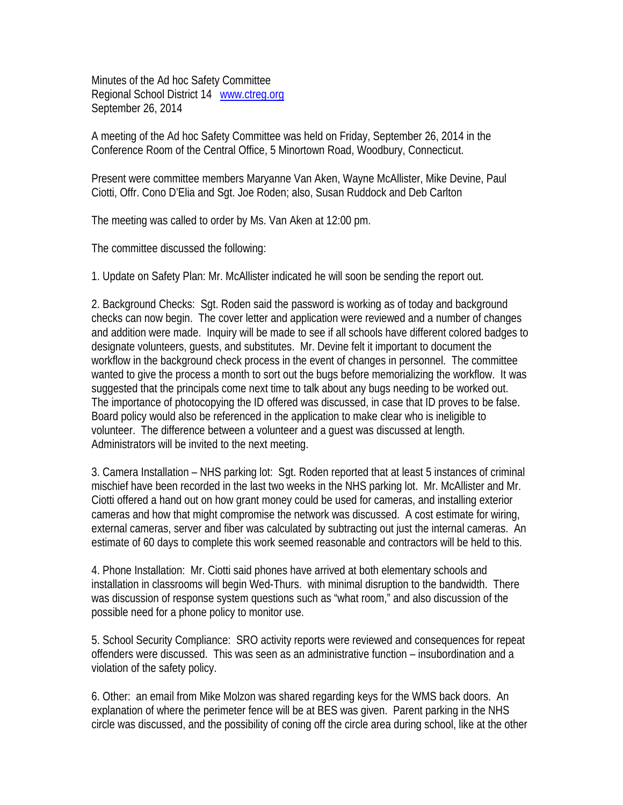Minutes of the Ad hoc Safety Committee Regional School District 14 www.ctreg.org September 26, 2014

A meeting of the Ad hoc Safety Committee was held on Friday, September 26, 2014 in the Conference Room of the Central Office, 5 Minortown Road, Woodbury, Connecticut.

Present were committee members Maryanne Van Aken, Wayne McAllister, Mike Devine, Paul Ciotti, Offr. Cono D'Elia and Sgt. Joe Roden; also, Susan Ruddock and Deb Carlton

The meeting was called to order by Ms. Van Aken at 12:00 pm.

The committee discussed the following:

1. Update on Safety Plan: Mr. McAllister indicated he will soon be sending the report out.

2. Background Checks: Sgt. Roden said the password is working as of today and background checks can now begin. The cover letter and application were reviewed and a number of changes and addition were made. Inquiry will be made to see if all schools have different colored badges to designate volunteers, guests, and substitutes. Mr. Devine felt it important to document the workflow in the background check process in the event of changes in personnel. The committee wanted to give the process a month to sort out the bugs before memorializing the workflow. It was suggested that the principals come next time to talk about any bugs needing to be worked out. The importance of photocopying the ID offered was discussed, in case that ID proves to be false. Board policy would also be referenced in the application to make clear who is ineligible to volunteer. The difference between a volunteer and a guest was discussed at length. Administrators will be invited to the next meeting.

3. Camera Installation – NHS parking lot: Sgt. Roden reported that at least 5 instances of criminal mischief have been recorded in the last two weeks in the NHS parking lot. Mr. McAllister and Mr. Ciotti offered a hand out on how grant money could be used for cameras, and installing exterior cameras and how that might compromise the network was discussed. A cost estimate for wiring, external cameras, server and fiber was calculated by subtracting out just the internal cameras. An estimate of 60 days to complete this work seemed reasonable and contractors will be held to this.

4. Phone Installation: Mr. Ciotti said phones have arrived at both elementary schools and installation in classrooms will begin Wed-Thurs. with minimal disruption to the bandwidth. There was discussion of response system questions such as "what room," and also discussion of the possible need for a phone policy to monitor use.

5. School Security Compliance: SRO activity reports were reviewed and consequences for repeat offenders were discussed. This was seen as an administrative function – insubordination and a violation of the safety policy.

6. Other: an email from Mike Molzon was shared regarding keys for the WMS back doors. An explanation of where the perimeter fence will be at BES was given. Parent parking in the NHS circle was discussed, and the possibility of coning off the circle area during school, like at the other